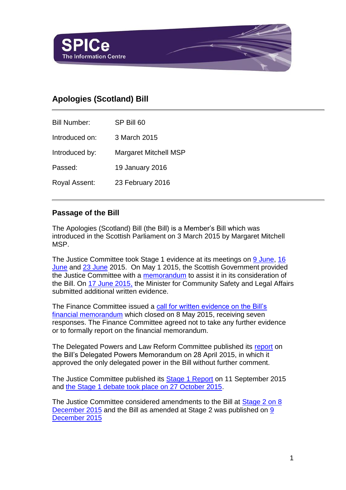

# **Apologies (Scotland) Bill**

Bill Number: SP Bill 60 Introduced on: 3 March 2015 Introduced by: Margaret Mitchell MSP Passed: 19 January 2016 Royal Assent: 23 February 2016

#### **Passage of the Bill**

The Apologies (Scotland) Bill (the Bill) is a Member's Bill which was introduced in the Scottish Parliament on 3 March 2015 by Margaret Mitchell MSP.

The Justice Committee took Stage 1 evidence at its meetings on [9 June,](http://www.scottish.parliament.uk/parliamentarybusiness/report.aspx?r=10008&mode=pdf) [16](http://www.scottish.parliament.uk/parliamentarybusiness/report.aspx?r=10021&mode=pdf)  [June](http://www.scottish.parliament.uk/parliamentarybusiness/report.aspx?r=10021&mode=pdf) and [23 June](http://www.scottish.parliament.uk/parliamentarybusiness/report.aspx?r=10036&mode=pdf) 2015. On May 1 2015, the Scottish Government provided the Justice Committee with a [memorandum](http://www.scottish.parliament.uk/S4_JusticeCommittee/Inquiries/20150501_SG_Memorandum.pdf) to assist it in its consideration of the Bill. On [17 June 2015,](http://www.scottish.parliament.uk/S4_JusticeCommittee/Inquiries/20150617_MfCSLA_to_CG.pdf) the Minister for Community Safety and Legal Affairs submitted additional written evidence.

The Finance Committee issued a [call for written evidence on the Bill's](http://www.scottish.parliament.uk/parliamentarybusiness/CurrentCommittees/87890.aspx)  [financial memorandum](http://www.scottish.parliament.uk/parliamentarybusiness/CurrentCommittees/87890.aspx) which closed on 8 May 2015, receiving seven responses. The Finance Committee agreed not to take any further evidence or to formally report on the financial memorandum.

The Delegated Powers and Law Reform Committee published its [report](http://www.scottish.parliament.uk/S4_SubordinateLegislationCommittee/Reports/sur-15-26w.pdf) on the Bill's Delegated Powers Memorandum on 28 April 2015, in which it approved the only delegated power in the Bill without further comment.

The Justice Committee published its [Stage 1 Report](http://www.scottish.parliament.uk/S4_JusticeCommittee/Reports/JS042015R15.pdf) on 11 September 2015 and [the Stage 1 debate took place on 27 October 2015.](http://www.scottish.parliament.uk/parliamentarybusiness/report.aspx?r=10157&mode=pdf)

The Justice Committee considered amendments to the Bill at [Stage 2 on 8](http://www.scottish.parliament.uk/parliamentarybusiness/report.aspx?r=10263&mode=pdf)  [December 2015](http://www.scottish.parliament.uk/parliamentarybusiness/report.aspx?r=10263&mode=pdf) and the Bill as amended at Stage 2 was published on 9 [December 2015](http://www.scottish.parliament.uk/S4_Bills/Apologies%20(Scotland)%20Bill/SPBill60AS042015.pdf)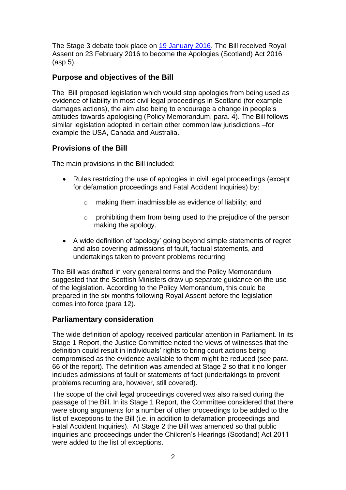The Stage 3 debate took place on [19 January 2016.](http://www.scottish.parliament.uk/parliamentarybusiness/report.aspx?r=10317&mode=pdf) The Bill received Royal Assent on 23 February 2016 to become the Apologies (Scotland) Act 2016 (asp 5).

### **Purpose and objectives of the Bill**

The [Bill](http://www.scottish.parliament.uk/S4_Bills/Tribunals%20(Scotland)%20Bill/b30s4-introd.pdf) proposed legislation which would stop apologies from being used as evidence of liability in most civil legal proceedings in Scotland (for example damages actions), the aim also being to encourage a change in people's attitudes towards apologising (Policy Memorandum, para. 4). The Bill follows similar legislation adopted in certain other common law jurisdictions –for example the USA, Canada and Australia.

## **Provisions of the Bill**

The main provisions in the Bill included:

- Rules restricting the use of apologies in civil legal proceedings (except for defamation proceedings and Fatal Accident Inquiries) by:
	- o making them inadmissible as evidence of liability; and
	- o prohibiting them from being used to the prejudice of the person making the apology.
- A wide definition of 'apology' going beyond simple statements of regret and also covering admissions of fault, factual statements, and undertakings taken to prevent problems recurring.

The Bill was drafted in very general terms and the Policy Memorandum suggested that the Scottish Ministers draw up separate guidance on the use of the legislation. According to the Policy Memorandum, this could be prepared in the six months following Royal Assent before the legislation comes into force (para 12).

## **Parliamentary consideration**

The wide definition of apology received particular attention in Parliament. In its Stage 1 Report, the Justice Committee noted the views of witnesses that the definition could result in individuals' rights to bring court actions being compromised as the evidence available to them might be reduced (see para. 66 of the report). The definition was amended at Stage 2 so that it no longer includes admissions of fault or statements of fact (undertakings to prevent problems recurring are, however, still covered).

The scope of the civil legal proceedings covered was also raised during the passage of the Bill. In its Stage 1 Report, the Committee considered that there were strong arguments for a number of other proceedings to be added to the list of exceptions to the Bill (i.e. in addition to defamation proceedings and Fatal Accident Inquiries). At Stage 2 the Bill was amended so that public inquiries and proceedings under the Children's Hearings (Scotland) Act 2011 were added to the list of exceptions.